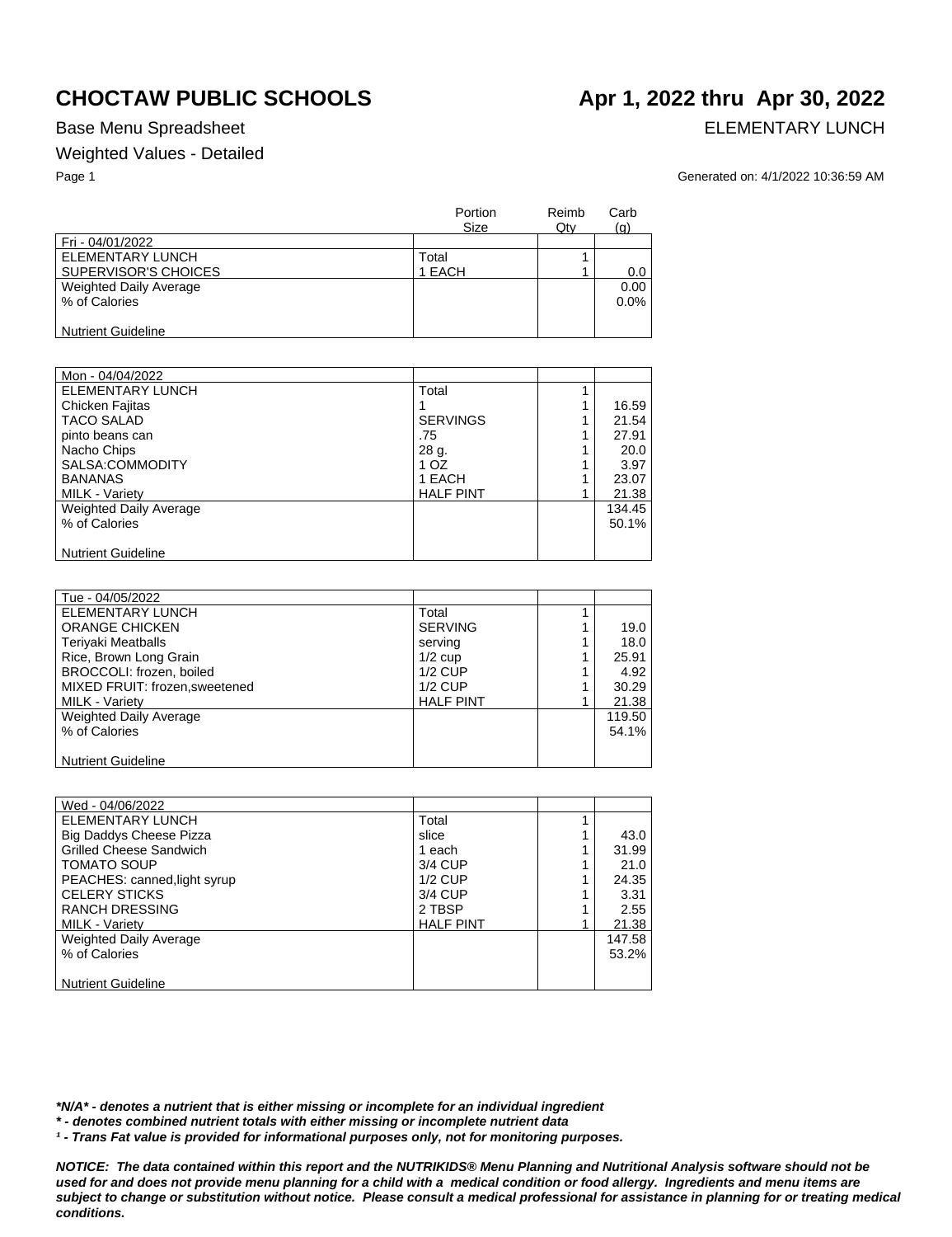## Base Menu Spreadsheet **ELEMENTARY LUNCH**

### Weighted Values - Detailed

### Page 1 Generated on: 4/1/2022 10:36:59 AM

|                               | Portion<br><b>Size</b> | Reimb<br>Qty | Carb<br>(q) |
|-------------------------------|------------------------|--------------|-------------|
| Fri - 04/01/2022              |                        |              |             |
| <b>ELEMENTARY LUNCH</b>       | Total                  |              |             |
| SUPERVISOR'S CHOICES          | 1 EACH                 |              | $0.0\,$     |
| <b>Weighted Daily Average</b> |                        |              | 0.00        |
| % of Calories                 |                        |              | $0.0\%$     |
|                               |                        |              |             |
| <b>Nutrient Guideline</b>     |                        |              |             |

| Mon - 04/04/2022              |                  |        |
|-------------------------------|------------------|--------|
| <b>ELEMENTARY LUNCH</b>       | Total            |        |
| Chicken Fajitas               |                  | 16.59  |
| <b>TACO SALAD</b>             | <b>SERVINGS</b>  | 21.54  |
| pinto beans can               | .75              | 27.91  |
| Nacho Chips                   | 28 g.            | 20.0   |
| SALSA:COMMODITY               | 1 OZ             | 3.97   |
| <b>BANANAS</b>                | 1 EACH           | 23.07  |
| <b>MILK - Variety</b>         | <b>HALF PINT</b> | 21.38  |
| <b>Weighted Daily Average</b> |                  | 134.45 |
| % of Calories                 |                  | 50.1%  |
|                               |                  |        |
| <b>Nutrient Guideline</b>     |                  |        |

| Tue - 04/05/2022               |                  |        |
|--------------------------------|------------------|--------|
| ELEMENTARY LUNCH               | Total            |        |
| <b>ORANGE CHICKEN</b>          | <b>SERVING</b>   | 19.0   |
| <b>Teriyaki Meatballs</b>      | serving          | 18.0   |
| Rice, Brown Long Grain         | $1/2$ cup        | 25.91  |
| BROCCOLI: frozen, boiled       | $1/2$ CUP        | 4.92   |
| MIXED FRUIT: frozen, sweetened | $1/2$ CUP        | 30.29  |
| <b>MILK - Variety</b>          | <b>HALF PINT</b> | 21.38  |
| <b>Weighted Daily Average</b>  |                  | 119.50 |
| % of Calories                  |                  | 54.1%  |
|                                |                  |        |
| <b>Nutrient Guideline</b>      |                  |        |

| Wed - 04/06/2022               |                  |   |        |
|--------------------------------|------------------|---|--------|
| ELEMENTARY LUNCH               | Total            |   |        |
| <b>Big Daddys Cheese Pizza</b> | slice            |   | 43.0   |
| <b>Grilled Cheese Sandwich</b> | 1 each           |   | 31.99  |
| <b>TOMATO SOUP</b>             | 3/4 CUP          | 4 | 21.0   |
| PEACHES: canned, light syrup   | $1/2$ CUP        |   | 24.35  |
| <b>CELERY STICKS</b>           | 3/4 CUP          |   | 3.31   |
| <b>RANCH DRESSING</b>          | 2 TBSP           |   | 2.55   |
| <b>MILK - Variety</b>          | <b>HALF PINT</b> |   | 21.38  |
| Weighted Daily Average         |                  |   | 147.58 |
| % of Calories                  |                  |   | 53.2%  |
|                                |                  |   |        |
| <b>Nutrient Guideline</b>      |                  |   |        |

*\*N/A\* - denotes a nutrient that is either missing or incomplete for an individual ingredient*

*\* - denotes combined nutrient totals with either missing or incomplete nutrient data*

*¹ - Trans Fat value is provided for informational purposes only, not for monitoring purposes.*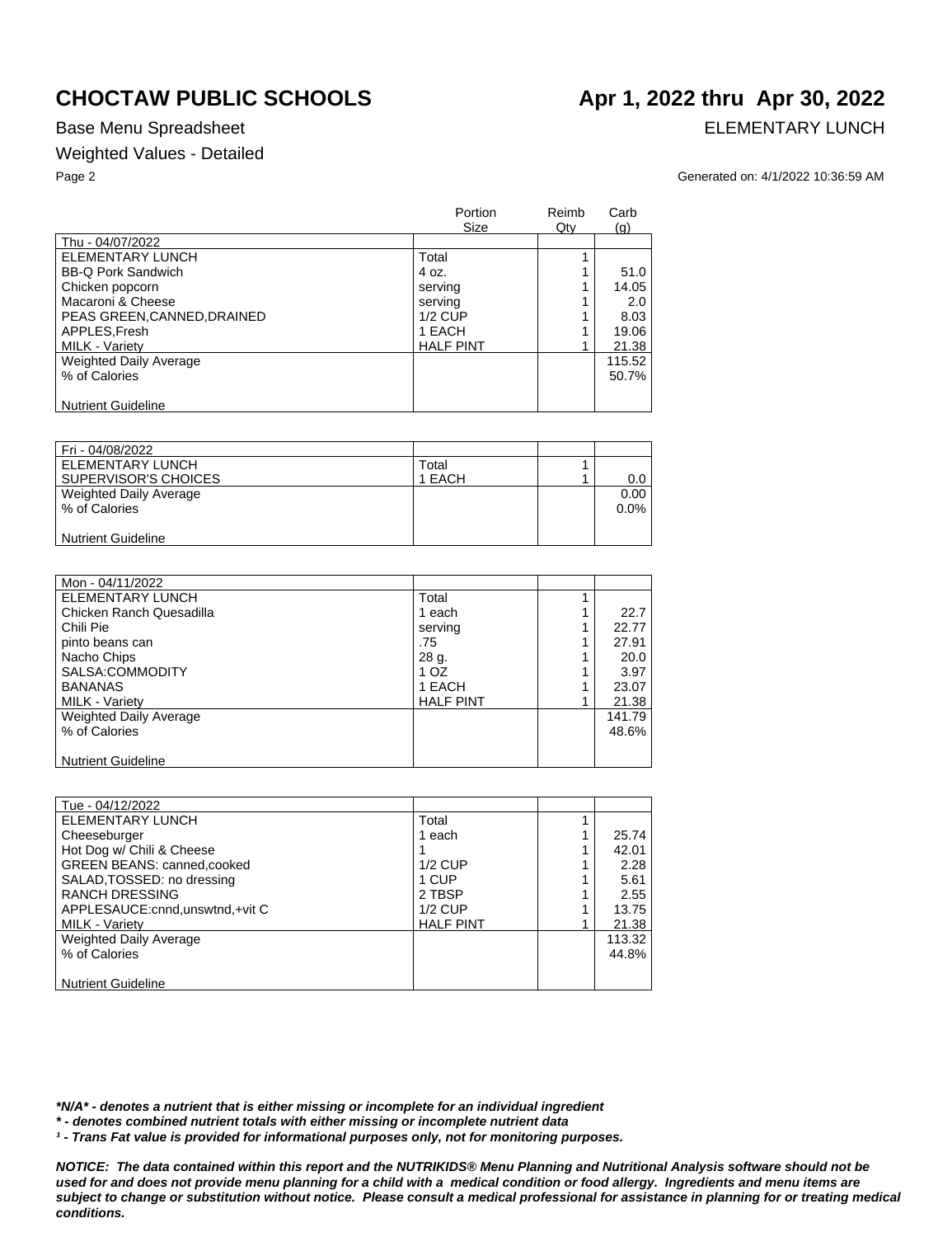## Base Menu Spreadsheet **ELEMENTARY LUNCH**

## Weighted Values - Detailed

# **CHOCTAW PUBLIC SCHOOLS Apr 1, 2022 thru Apr 30, 2022**

Page 2 Generated on: 4/1/2022 10:36:59 AM

|                             | Portion<br><b>Size</b> | Reimb<br>Qty | Carb<br>(g) |
|-----------------------------|------------------------|--------------|-------------|
| Thu - 04/07/2022            |                        |              |             |
| ELEMENTARY LUNCH            | Total                  |              |             |
| <b>BB-Q Pork Sandwich</b>   | 4 oz.                  |              | 51.0        |
| Chicken popcorn             | serving                |              | 14.05       |
| Macaroni & Cheese           | serving                |              | 2.0         |
| PEAS GREEN, CANNED, DRAINED | $1/2$ CUP              |              | 8.03        |
| APPLES, Fresh               | 1 EACH                 |              | 19.06       |
| MILK - Variety              | <b>HALF PINT</b>       |              | 21.38       |
| Weighted Daily Average      |                        |              | 115.52      |
| % of Calories               |                        |              | 50.7%       |
| <b>Nutrient Guideline</b>   |                        |              |             |

| Fri - 04/08/2022          |        |         |
|---------------------------|--------|---------|
| ELEMENTARY LUNCH          | Total  |         |
| SUPERVISOR'S CHOICES      | 1 EACH | $0.0\,$ |
| Weighted Daily Average    |        | 0.00    |
| % of Calories             |        | $0.0\%$ |
|                           |        |         |
| <b>Nutrient Guideline</b> |        |         |

| Mon - 04/11/2022          |                  |        |
|---------------------------|------------------|--------|
| <b>ELEMENTARY LUNCH</b>   | Total            |        |
| Chicken Ranch Quesadilla  | 1 each           | 22.7   |
| Chili Pie                 | serving          | 22.77  |
| pinto beans can           | .75              | 27.91  |
| Nacho Chips               | 28 g.            | 20.0   |
| SALSA:COMMODITY           | 1 OZ             | 3.97   |
| <b>BANANAS</b>            | 1 EACH           | 23.07  |
| <b>MILK - Varietv</b>     | <b>HALF PINT</b> | 21.38  |
| Weighted Daily Average    |                  | 141.79 |
| % of Calories             |                  | 48.6%  |
|                           |                  |        |
| <b>Nutrient Guideline</b> |                  |        |

| Tue - 04/12/2022                   |                  |        |
|------------------------------------|------------------|--------|
| <b>ELEMENTARY LUNCH</b>            | Total            |        |
| Cheeseburger                       | 1 each           | 25.74  |
| Hot Dog w/ Chili & Cheese          |                  | 42.01  |
| <b>GREEN BEANS: canned, cooked</b> | $1/2$ CUP        | 2.28   |
| SALAD, TOSSED: no dressing         | 1 CUP            | 5.61   |
| <b>RANCH DRESSING</b>              | 2 TBSP           | 2.55   |
| APPLESAUCE: cnnd, unswtnd, +vit C  | $1/2$ CUP        | 13.75  |
| <b>MILK - Variety</b>              | <b>HALF PINT</b> | 21.38  |
| Weighted Daily Average             |                  | 113.32 |
| % of Calories                      |                  | 44.8%  |
|                                    |                  |        |
| <b>Nutrient Guideline</b>          |                  |        |

*\*N/A\* - denotes a nutrient that is either missing or incomplete for an individual ingredient*

*\* - denotes combined nutrient totals with either missing or incomplete nutrient data*

*¹ - Trans Fat value is provided for informational purposes only, not for monitoring purposes.*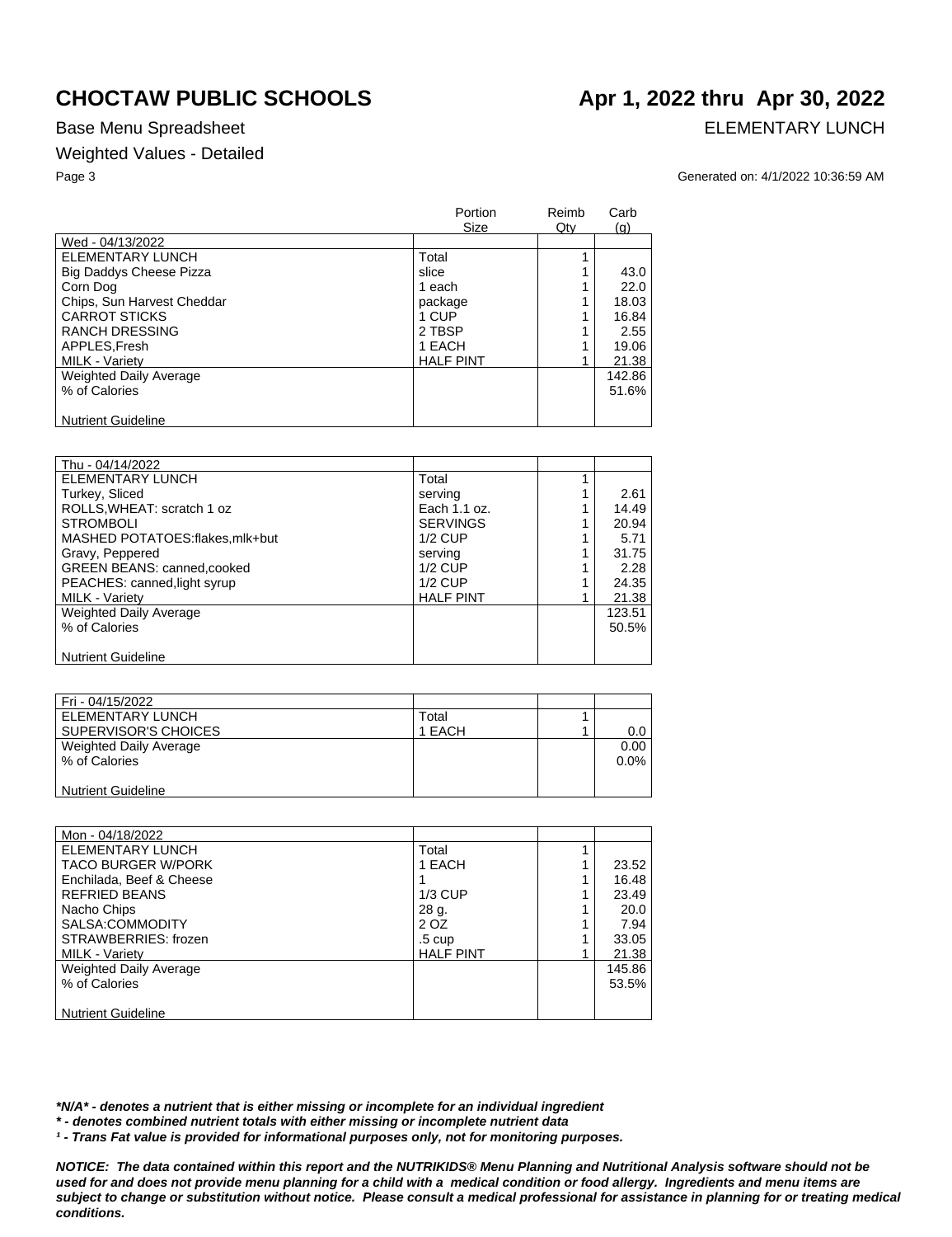## Base Menu Spreadsheet **ELEMENTARY LUNCH**

## Weighted Values - Detailed

### Page 3 Generated on: 4/1/2022 10:36:59 AM

|                                | Portion<br>Size  | Reimb<br>Qty | Carb<br>(q) |
|--------------------------------|------------------|--------------|-------------|
| Wed - 04/13/2022               |                  |              |             |
| <b>ELEMENTARY LUNCH</b>        | Total            |              |             |
| <b>Big Daddys Cheese Pizza</b> | slice            |              | 43.0        |
| Corn Dog                       | 1 each           |              | 22.0        |
| Chips, Sun Harvest Cheddar     | package          |              | 18.03       |
| <b>CARROT STICKS</b>           | 1 CUP            |              | 16.84       |
| <b>RANCH DRESSING</b>          | 2 TBSP           |              | 2.55        |
| APPLES, Fresh                  | 1 EACH           |              | 19.06       |
| MILK - Variety                 | <b>HALF PINT</b> |              | 21.38       |
| Weighted Daily Average         |                  |              | 142.86      |
| % of Calories                  |                  |              | 51.6%       |
| <b>Nutrient Guideline</b>      |                  |              |             |

| Thu - 04/14/2022               |                  |        |
|--------------------------------|------------------|--------|
| ELEMENTARY LUNCH               | Total            |        |
| Turkey, Sliced                 | serving          | 2.61   |
| ROLLS, WHEAT: scratch 1 oz     | Each 1.1 oz.     | 14.49  |
| <b>STROMBOLI</b>               | <b>SERVINGS</b>  | 20.94  |
| MASHED POTATOES:flakes.mlk+but | $1/2$ CUP        | 5.71   |
| Gravy, Peppered                | serving          | 31.75  |
| GREEN BEANS: canned, cooked    | $1/2$ CUP        | 2.28   |
| PEACHES: canned, light syrup   | $1/2$ CUP        | 24.35  |
| <b>MILK - Variety</b>          | <b>HALF PINT</b> | 21.38  |
| Weighted Daily Average         |                  | 123.51 |
| % of Calories                  |                  | 50.5%  |
|                                |                  |        |
| <b>Nutrient Guideline</b>      |                  |        |

| Fri - 04/15/2022          |        |         |
|---------------------------|--------|---------|
| ELEMENTARY LUNCH          | Total  |         |
| SUPERVISOR'S CHOICES      | 1 EACH | $0.0\,$ |
| Weighted Daily Average    |        | 0.00    |
| % of Calories             |        | $0.0\%$ |
|                           |        |         |
| <b>Nutrient Guideline</b> |        |         |

| Mon - 04/18/2022          |                  |        |
|---------------------------|------------------|--------|
| ELEMENTARY LUNCH          | Total            |        |
| <b>TACO BURGER W/PORK</b> | 1 EACH           | 23.52  |
| Enchilada, Beef & Cheese  |                  | 16.48  |
| <b>REFRIED BEANS</b>      | $1/3$ CUP        | 23.49  |
| Nacho Chips               | 28 g.            | 20.0   |
| SALSA:COMMODITY           | 2 OZ             | 7.94   |
| STRAWBERRIES: frozen      | $.5 \text{ cup}$ | 33.05  |
| <b>MILK - Variety</b>     | <b>HALF PINT</b> | 21.38  |
| Weighted Daily Average    |                  | 145.86 |
| % of Calories             |                  | 53.5%  |
|                           |                  |        |
| <b>Nutrient Guideline</b> |                  |        |

*\*N/A\* - denotes a nutrient that is either missing or incomplete for an individual ingredient*

*\* - denotes combined nutrient totals with either missing or incomplete nutrient data*

*¹ - Trans Fat value is provided for informational purposes only, not for monitoring purposes.*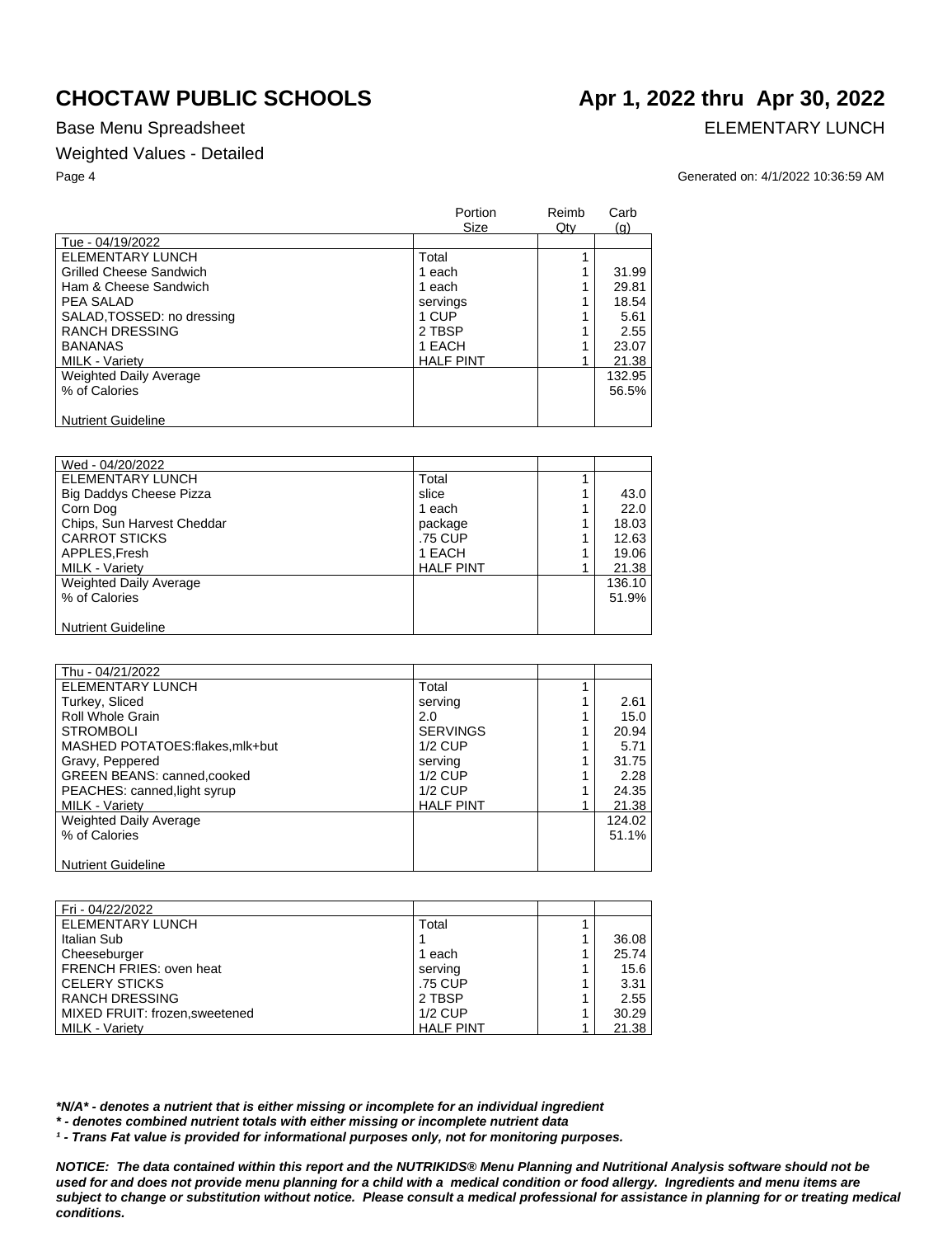## Base Menu Spreadsheet **ELEMENTARY LUNCH**

## Weighted Values - Detailed

### Page 4 Generated on: 4/1/2022 10:36:59 AM

|                                | Portion<br>Size  | Reimb<br>$Q$ ty | Carb<br>(q) |
|--------------------------------|------------------|-----------------|-------------|
| Tue - 04/19/2022               |                  |                 |             |
| ELEMENTARY LUNCH               | Total            |                 |             |
| <b>Grilled Cheese Sandwich</b> | 1 each           |                 | 31.99       |
| Ham & Cheese Sandwich          | 1 each           |                 | 29.81       |
| PEA SALAD                      | servings         |                 | 18.54       |
| SALAD, TOSSED: no dressing     | 1 CUP            |                 | 5.61        |
| <b>RANCH DRESSING</b>          | 2 TBSP           |                 | 2.55        |
| <b>BANANAS</b>                 | 1 EACH           |                 | 23.07       |
| <b>MILK - Variety</b>          | <b>HALF PINT</b> |                 | 21.38       |
| <b>Weighted Daily Average</b>  |                  |                 | 132.95      |
| % of Calories                  |                  |                 | 56.5%       |
|                                |                  |                 |             |
| <b>Nutrient Guideline</b>      |                  |                 |             |

| Wed - 04/20/2022              |                  |        |
|-------------------------------|------------------|--------|
| <b>ELEMENTARY LUNCH</b>       | Total            |        |
| Big Daddys Cheese Pizza       | slice            | 43.0   |
| Corn Dog                      | 1 each           | 22.0   |
| Chips, Sun Harvest Cheddar    | package          | 18.03  |
| <b>CARROT STICKS</b>          | .75 CUP          | 12.63  |
| APPLES, Fresh                 | 1 EACH           | 19.06  |
| <b>MILK - Variety</b>         | <b>HALF PINT</b> | 21.38  |
| <b>Weighted Daily Average</b> |                  | 136.10 |
| % of Calories                 |                  | 51.9%  |
|                               |                  |        |
| <b>Nutrient Guideline</b>     |                  |        |

| Thu - 04/21/2022               |                  |        |
|--------------------------------|------------------|--------|
| ELEMENTARY LUNCH               | Total            |        |
| Turkey, Sliced                 | serving          | 2.61   |
| Roll Whole Grain               | 2.0              | 15.0   |
| <b>STROMBOLI</b>               | <b>SERVINGS</b>  | 20.94  |
| MASHED POTATOES:flakes.mlk+but | $1/2$ CUP        | 5.71   |
| Gravy, Peppered                | serving          | 31.75  |
| GREEN BEANS: canned, cooked    | $1/2$ CUP        | 2.28   |
| PEACHES: canned, light syrup   | $1/2$ CUP        | 24.35  |
| <b>MILK - Variety</b>          | <b>HALF PINT</b> | 21.38  |
| <b>Weighted Daily Average</b>  |                  | 124.02 |
| % of Calories                  |                  | 51.1%  |
|                                |                  |        |
| <b>Nutrient Guideline</b>      |                  |        |

| Fri - 04/22/2022               |                  |       |
|--------------------------------|------------------|-------|
| ELEMENTARY LUNCH               | Total            |       |
| Italian Sub                    |                  | 36.08 |
| Cheeseburger                   | 1 each           | 25.74 |
| FRENCH FRIES: oven heat        | serving          | 15.6  |
| <b>CELERY STICKS</b>           | .75 CUP          | 3.31  |
| <b>RANCH DRESSING</b>          | 2 TBSP           | 2.55  |
| MIXED FRUIT: frozen, sweetened | $1/2$ CUP        | 30.29 |
| <b>MILK - Varietv</b>          | <b>HALF PINT</b> | 21.38 |

*\*N/A\* - denotes a nutrient that is either missing or incomplete for an individual ingredient*

*\* - denotes combined nutrient totals with either missing or incomplete nutrient data*

*¹ - Trans Fat value is provided for informational purposes only, not for monitoring purposes.*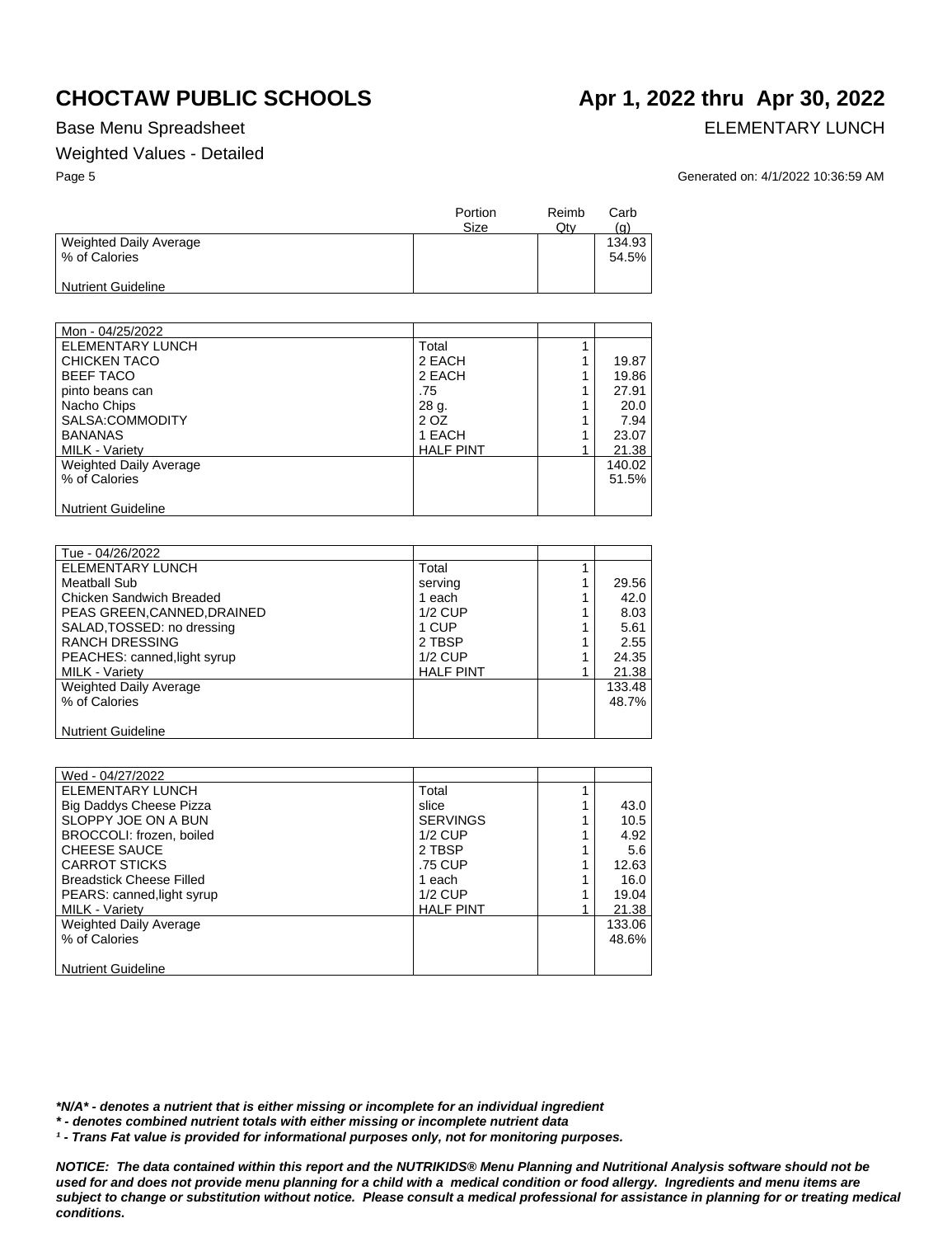## Weighted Values - Detailed

# Base Menu Spreadsheet **ELEMENTARY LUNCH**

Page 5 Generated on: 4/1/2022 10:36:59 AM

|                                         | Portion<br>Size | Reimb<br>Qtv | Carb<br>(a)     |
|-----------------------------------------|-----------------|--------------|-----------------|
| Weighted Daily Average<br>% of Calories |                 |              | 134.93<br>54.5% |
| <b>Nutrient Guideline</b>               |                 |              |                 |

| Mon - 04/25/2022          |                  |        |
|---------------------------|------------------|--------|
| <b>ELEMENTARY LUNCH</b>   | Total            |        |
| <b>CHICKEN TACO</b>       | 2 EACH           | 19.87  |
| <b>BEEF TACO</b>          | 2 EACH           | 19.86  |
| pinto beans can           | .75              | 27.91  |
| Nacho Chips               | 28 g.            | 20.0   |
| SALSA:COMMODITY           | 2 OZ             | 7.94   |
| <b>BANANAS</b>            | 1 EACH           | 23.07  |
| <b>MILK - Variety</b>     | <b>HALF PINT</b> | 21.38  |
| Weighted Daily Average    |                  | 140.02 |
| % of Calories             |                  | 51.5%  |
|                           |                  |        |
| <b>Nutrient Guideline</b> |                  |        |

| Tue - 04/26/2022             |                  |        |
|------------------------------|------------------|--------|
| ELEMENTARY LUNCH             | Total            |        |
| Meatball Sub                 | serving          | 29.56  |
| Chicken Sandwich Breaded     | 1 each           | 42.0   |
| PEAS GREEN, CANNED, DRAINED  | $1/2$ CUP        | 8.03   |
| SALAD, TOSSED: no dressing   | 1 CUP            | 5.61   |
| <b>RANCH DRESSING</b>        | 2 TBSP           | 2.55   |
| PEACHES: canned, light syrup | $1/2$ CUP        | 24.35  |
| <b>MILK - Variety</b>        | <b>HALF PINT</b> | 21.38  |
| Weighted Daily Average       |                  | 133.48 |
| % of Calories                |                  | 48.7%  |
|                              |                  |        |
| <b>Nutrient Guideline</b>    |                  |        |

| Wed - 04/27/2022                |                  |        |
|---------------------------------|------------------|--------|
| ELEMENTARY LUNCH                | Total            |        |
| <b>Big Daddys Cheese Pizza</b>  | slice            | 43.0   |
| SLOPPY JOE ON A BUN             | <b>SERVINGS</b>  | 10.5   |
| BROCCOLI: frozen, boiled        | $1/2$ CUP        | 4.92   |
| <b>CHEESE SAUCE</b>             | 2 TBSP           | 5.6    |
| <b>CARROT STICKS</b>            | .75 CUP          | 12.63  |
| <b>Breadstick Cheese Filled</b> | 1 each           | 16.0   |
| PEARS: canned, light syrup      | $1/2$ CUP        | 19.04  |
| MILK - Variety                  | <b>HALF PINT</b> | 21.38  |
| Weighted Daily Average          |                  | 133.06 |
| % of Calories                   |                  | 48.6%  |
|                                 |                  |        |
| <b>Nutrient Guideline</b>       |                  |        |

*\*N/A\* - denotes a nutrient that is either missing or incomplete for an individual ingredient*

*\* - denotes combined nutrient totals with either missing or incomplete nutrient data*

*¹ - Trans Fat value is provided for informational purposes only, not for monitoring purposes.*